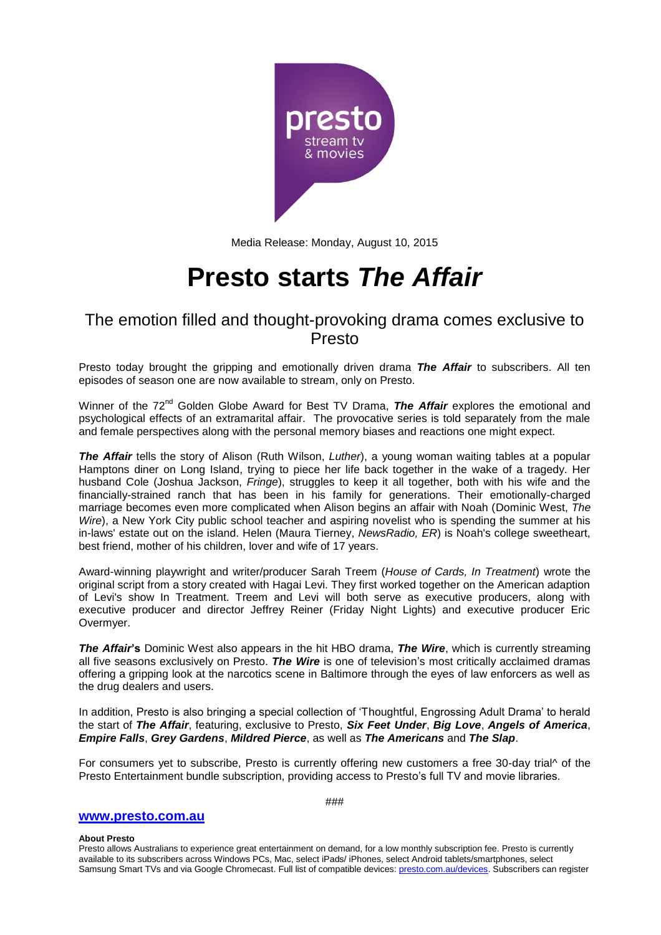

Media Release: Monday, August 10, 2015

# **Presto starts** *The Affair*

# The emotion filled and thought-provoking drama comes exclusive to Presto

Presto today brought the gripping and emotionally driven drama *The Affair* to subscribers. All ten episodes of season one are now available to stream, only on Presto.

Winner of the 72<sup>nd</sup> Golden Globe Award for Best TV Drama, *The Affair* explores the emotional and psychological effects of an extramarital affair. The provocative series is told separately from the male and female perspectives along with the personal memory biases and reactions one might expect.

*The Affair* tells the story of Alison (Ruth Wilson, *Luther*), a young woman waiting tables at a popular Hamptons diner on Long Island, trying to piece her life back together in the wake of a tragedy. Her husband Cole (Joshua Jackson, *Fringe*), struggles to keep it all together, both with his wife and the financially-strained ranch that has been in his family for generations. Their emotionally-charged marriage becomes even more complicated when Alison begins an affair with Noah (Dominic West, *The Wire*), a New York City public school teacher and aspiring novelist who is spending the summer at his in-laws' estate out on the island. Helen (Maura Tierney, *NewsRadio, ER*) is Noah's college sweetheart, best friend, mother of his children, lover and wife of 17 years.

Award-winning playwright and writer/producer Sarah Treem (*House of Cards, In Treatment*) wrote the original script from a story created with Hagai Levi. They first worked together on the American adaption of Levi's show In Treatment. Treem and Levi will both serve as executive producers, along with executive producer and director Jeffrey Reiner (Friday Night Lights) and executive producer Eric Overmyer.

*The Affair***'s** Dominic West also appears in the hit HBO drama, *The Wire*, which is currently streaming all five seasons exclusively on Presto. *The Wire* is one of television's most critically acclaimed dramas offering a gripping look at the narcotics scene in Baltimore through the eyes of law enforcers as well as the drug dealers and users.

In addition, Presto is also bringing a special collection of 'Thoughtful, Engrossing Adult Drama' to herald the start of *The Affair*, featuring, exclusive to Presto, *Six Feet Under*, *Big Love*, *Angels of America*, *Empire Falls*, *Grey Gardens*, *Mildred Pierce*, as well as *The Americans* and *The Slap*.

For consumers yet to subscribe, Presto is currently offering new customers a free 30-day trial^ of the Presto Entertainment bundle subscription, providing access to Presto's full TV and movie libraries.

## **[www.presto.com.au](http://www.presto.com.au/)**

# ###

#### **About Presto**

Presto allows Australians to experience great entertainment on demand, for a low monthly subscription fee. Presto is currently available to its subscribers across Windows PCs, Mac, select iPads/ iPhones, select Android tablets/smartphones, select Samsung Smart TVs and via Google Chromecast. Full list of compatible devices: [presto.com.au/devices.](http://presto.com.au/devices) Subscribers can register